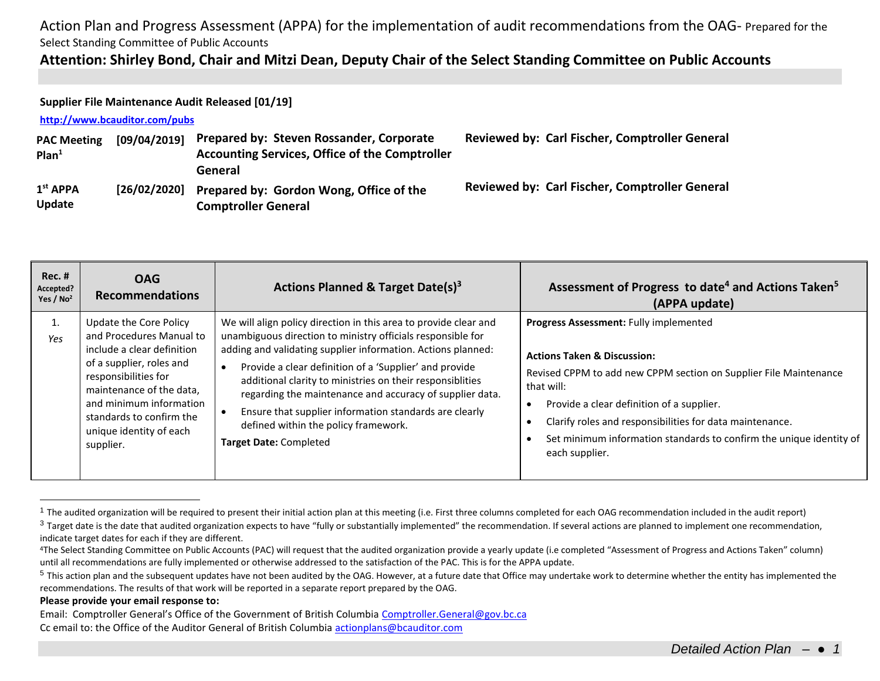## **Attention: Shirley Bond, Chair and Mitzi Dean, Deputy Chair of the Select Standing Committee on Public Accounts**

### **Supplier File Maintenance Audit Released [01/19]**

### **<http://www.bcauditor.com/pubs>**

| <b>PAC Meeting</b><br>Plan <sup>1</sup> | [09/04/2019] | Prepared by: Steven Rossander, Corporate<br><b>Accounting Services, Office of the Comptroller</b><br>General | <b>Reviewed by: Carl Fischer, Comptroller General</b> |
|-----------------------------------------|--------------|--------------------------------------------------------------------------------------------------------------|-------------------------------------------------------|
| 1 <sup>st</sup> APPA<br>Update          | [26/02/2020] | Prepared by: Gordon Wong, Office of the<br><b>Comptroller General</b>                                        | <b>Reviewed by: Carl Fischer, Comptroller General</b> |

| $Rec.$ #<br>Accepted?<br>Yes / $No2$ | <b>OAG</b><br><b>Recommendations</b>                                                                                                                                                                                                                            | Actions Planned & Target Date(s) <sup>3</sup>                                                                                                                                                                                                                                                                                                                                                                                                                                                                         | Assessment of Progress to date <sup>4</sup> and Actions Taken <sup>5</sup><br>(APPA update)                                                                                                                                                                                                                                                                           |
|--------------------------------------|-----------------------------------------------------------------------------------------------------------------------------------------------------------------------------------------------------------------------------------------------------------------|-----------------------------------------------------------------------------------------------------------------------------------------------------------------------------------------------------------------------------------------------------------------------------------------------------------------------------------------------------------------------------------------------------------------------------------------------------------------------------------------------------------------------|-----------------------------------------------------------------------------------------------------------------------------------------------------------------------------------------------------------------------------------------------------------------------------------------------------------------------------------------------------------------------|
| Yes                                  | Update the Core Policy<br>and Procedures Manual to<br>include a clear definition<br>of a supplier, roles and<br>responsibilities for<br>maintenance of the data,<br>and minimum information<br>standards to confirm the<br>unique identity of each<br>supplier. | We will align policy direction in this area to provide clear and<br>unambiguous direction to ministry officials responsible for<br>adding and validating supplier information. Actions planned:<br>Provide a clear definition of a 'Supplier' and provide<br>additional clarity to ministries on their responsiblities<br>regarding the maintenance and accuracy of supplier data.<br>Ensure that supplier information standards are clearly<br>defined within the policy framework.<br><b>Target Date: Completed</b> | Progress Assessment: Fully implemented<br><b>Actions Taken &amp; Discussion:</b><br>Revised CPPM to add new CPPM section on Supplier File Maintenance<br>that will:<br>Provide a clear definition of a supplier.<br>Clarify roles and responsibilities for data maintenance.<br>Set minimum information standards to confirm the unique identity of<br>each supplier. |

 $1$  The audited organization will be required to present their initial action plan at this meeting (i.e. First three columns completed for each OAG recommendation included in the audit report)

#### **Please provide your email response to:**

 $\overline{a}$ 

 $3$  Target date is the date that audited organization expects to have "fully or substantially implemented" the recommendation. If several actions are planned to implement one recommendation, indicate target dates for each if they are different.

<sup>4</sup>The Select Standing Committee on Public Accounts (PAC) will request that the audited organization provide a yearly update (i.e completed "Assessment of Progress and Actions Taken" column) until all recommendations are fully implemented or otherwise addressed to the satisfaction of the PAC. This is for the APPA update.

<sup>&</sup>lt;sup>5</sup> This action plan and the subsequent updates have not been audited by the OAG. However, at a future date that Office may undertake work to determine whether the entity has implemented the recommendations. The results of that work will be reported in a separate report prepared by the OAG.

Email: Comptroller General's Office of the Government of British Columbia [Comptroller.General@gov.bc.ca](mailto:Comptroller.General@gov.bc.ca) Cc email to: the Office of the Auditor General of British Columbi[a actionplans@bcauditor.com](mailto:actionplans@bcauditor.com)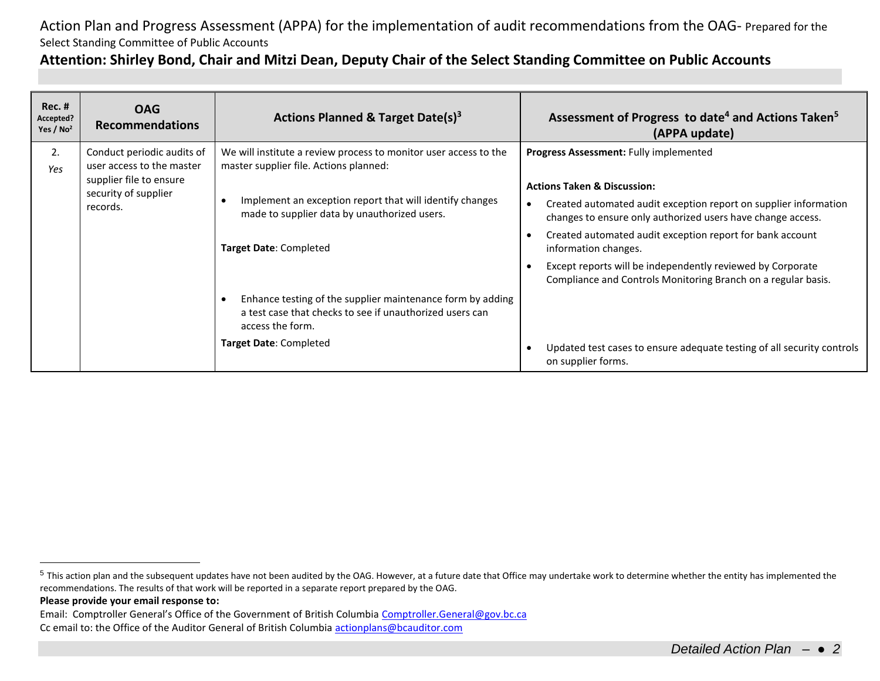## **Attention: Shirley Bond, Chair and Mitzi Dean, Deputy Chair of the Select Standing Committee on Public Accounts**

| <b>Rec. #</b><br>Accepted?<br>Yes / $No2$ | <b>OAG</b><br><b>Recommendations</b>                                                                                   | Actions Planned & Target Date(s) <sup>3</sup>                                                                                              | Assessment of Progress to date <sup>4</sup> and Actions Taken <sup>5</sup><br>(APPA update)                                     |
|-------------------------------------------|------------------------------------------------------------------------------------------------------------------------|--------------------------------------------------------------------------------------------------------------------------------------------|---------------------------------------------------------------------------------------------------------------------------------|
| 2.<br>Yes                                 | Conduct periodic audits of<br>user access to the master<br>supplier file to ensure<br>security of supplier<br>records. | We will institute a review process to monitor user access to the<br>master supplier file. Actions planned:                                 | Progress Assessment: Fully implemented                                                                                          |
|                                           |                                                                                                                        |                                                                                                                                            | <b>Actions Taken &amp; Discussion:</b>                                                                                          |
|                                           |                                                                                                                        | Implement an exception report that will identify changes<br>made to supplier data by unauthorized users.                                   | Created automated audit exception report on supplier information<br>changes to ensure only authorized users have change access. |
|                                           |                                                                                                                        | Target Date: Completed                                                                                                                     | Created automated audit exception report for bank account<br>information changes.                                               |
|                                           |                                                                                                                        |                                                                                                                                            | Except reports will be independently reviewed by Corporate<br>Compliance and Controls Monitoring Branch on a regular basis.     |
|                                           |                                                                                                                        | Enhance testing of the supplier maintenance form by adding<br>a test case that checks to see if unauthorized users can<br>access the form. |                                                                                                                                 |
|                                           |                                                                                                                        | Target Date: Completed                                                                                                                     | Updated test cases to ensure adequate testing of all security controls<br>on supplier forms.                                    |

 $\overline{a}$ 

<sup>&</sup>lt;sup>5</sup> This action plan and the subsequent updates have not been audited by the OAG. However, at a future date that Office may undertake work to determine whether the entity has implemented the recommendations. The results of that work will be reported in a separate report prepared by the OAG.

**Please provide your email response to:**

Email: Comptroller General's Office of the Government of British Columbia [Comptroller.General@gov.bc.ca](mailto:Comptroller.General@gov.bc.ca) Cc email to: the Office of the Auditor General of British Columbi[a actionplans@bcauditor.com](mailto:actionplans@bcauditor.com)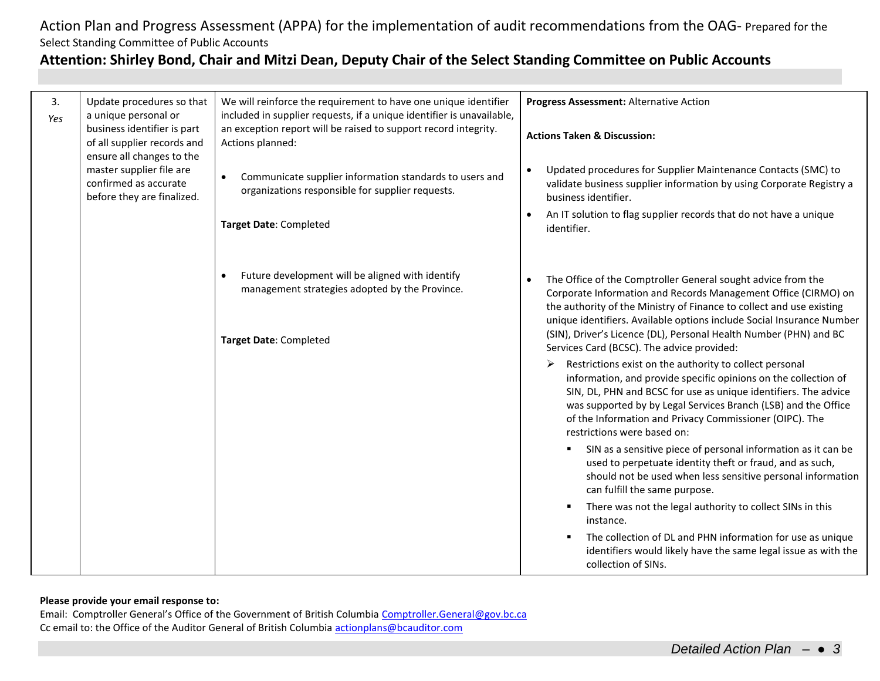## **Attention: Shirley Bond, Chair and Mitzi Dean, Deputy Chair of the Select Standing Committee on Public Accounts**

| 3.  | Update procedures so that<br>a unique personal or                                                                                                                          | We will reinforce the requirement to have one unique identifier<br>included in supplier requests, if a unique identifier is unavailable, | Progress Assessment: Alternative Action                                                                                                                                                                                                                                                                                                                                                                         |
|-----|----------------------------------------------------------------------------------------------------------------------------------------------------------------------------|------------------------------------------------------------------------------------------------------------------------------------------|-----------------------------------------------------------------------------------------------------------------------------------------------------------------------------------------------------------------------------------------------------------------------------------------------------------------------------------------------------------------------------------------------------------------|
| Yes | business identifier is part<br>of all supplier records and<br>ensure all changes to the<br>master supplier file are<br>confirmed as accurate<br>before they are finalized. | an exception report will be raised to support record integrity.<br>Actions planned:                                                      | <b>Actions Taken &amp; Discussion:</b>                                                                                                                                                                                                                                                                                                                                                                          |
|     |                                                                                                                                                                            | Communicate supplier information standards to users and<br>organizations responsible for supplier requests.                              | Updated procedures for Supplier Maintenance Contacts (SMC) to<br>$\bullet$<br>validate business supplier information by using Corporate Registry a<br>business identifier.                                                                                                                                                                                                                                      |
|     |                                                                                                                                                                            | Target Date: Completed                                                                                                                   | An IT solution to flag supplier records that do not have a unique<br>$\bullet$<br>identifier.                                                                                                                                                                                                                                                                                                                   |
|     |                                                                                                                                                                            | Future development will be aligned with identify<br>management strategies adopted by the Province.<br>Target Date: Completed             | The Office of the Comptroller General sought advice from the<br>$\bullet$<br>Corporate Information and Records Management Office (CIRMO) on<br>the authority of the Ministry of Finance to collect and use existing<br>unique identifiers. Available options include Social Insurance Number<br>(SIN), Driver's Licence (DL), Personal Health Number (PHN) and BC<br>Services Card (BCSC). The advice provided: |
|     |                                                                                                                                                                            |                                                                                                                                          | Restrictions exist on the authority to collect personal<br>➤<br>information, and provide specific opinions on the collection of<br>SIN, DL, PHN and BCSC for use as unique identifiers. The advice<br>was supported by by Legal Services Branch (LSB) and the Office<br>of the Information and Privacy Commissioner (OIPC). The<br>restrictions were based on:                                                  |
|     |                                                                                                                                                                            |                                                                                                                                          | SIN as a sensitive piece of personal information as it can be<br>used to perpetuate identity theft or fraud, and as such,<br>should not be used when less sensitive personal information<br>can fulfill the same purpose.                                                                                                                                                                                       |
|     |                                                                                                                                                                            |                                                                                                                                          | There was not the legal authority to collect SINs in this<br>instance.                                                                                                                                                                                                                                                                                                                                          |
|     |                                                                                                                                                                            |                                                                                                                                          | The collection of DL and PHN information for use as unique<br>identifiers would likely have the same legal issue as with the<br>collection of SINs.                                                                                                                                                                                                                                                             |

### **Please provide your email response to:**

Email: Comptroller General's Office of the Government of British Columbia [Comptroller.General@gov.bc.ca](mailto:Comptroller.General@gov.bc.ca) Cc email to: the Office of the Auditor General of British Columbi[a actionplans@bcauditor.com](mailto:actionplans@bcauditor.com)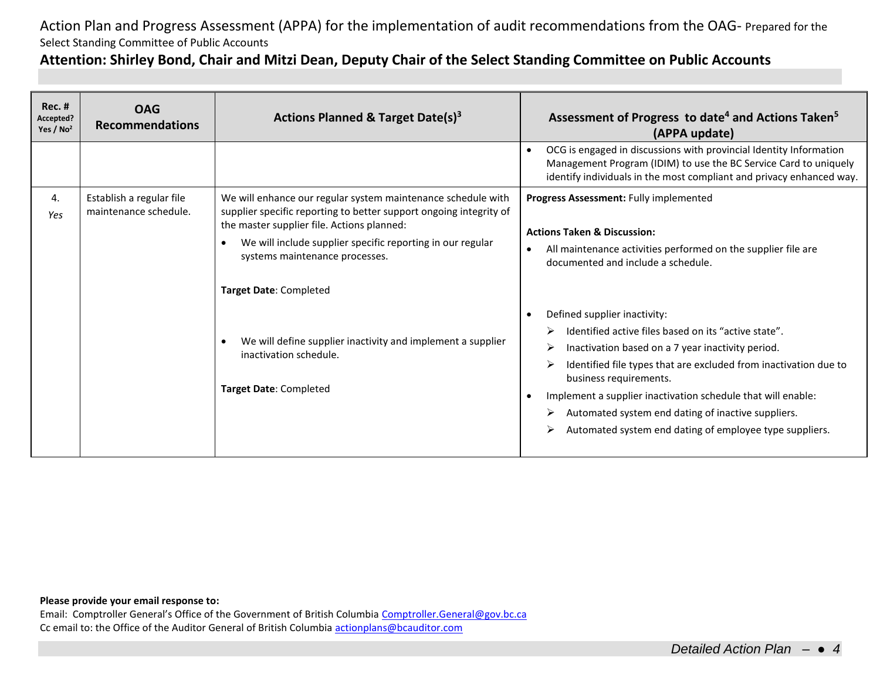### **Attention: Shirley Bond, Chair and Mitzi Dean, Deputy Chair of the Select Standing Committee on Public Accounts**

| Rec. #<br>Accepted?<br>Yes / $No2$ | <b>OAG</b><br><b>Recommendations</b>              | Actions Planned & Target Date(s) <sup>3</sup>                                                                                                                                                                                                                                    | Assessment of Progress to date <sup>4</sup> and Actions Taken <sup>5</sup><br>(APPA update)                                                                                                                                                                                                                                                                                                                              |
|------------------------------------|---------------------------------------------------|----------------------------------------------------------------------------------------------------------------------------------------------------------------------------------------------------------------------------------------------------------------------------------|--------------------------------------------------------------------------------------------------------------------------------------------------------------------------------------------------------------------------------------------------------------------------------------------------------------------------------------------------------------------------------------------------------------------------|
|                                    |                                                   |                                                                                                                                                                                                                                                                                  | OCG is engaged in discussions with provincial Identity Information<br>Management Program (IDIM) to use the BC Service Card to uniquely<br>identify individuals in the most compliant and privacy enhanced way.                                                                                                                                                                                                           |
| 4.<br>Yes                          | Establish a regular file<br>maintenance schedule. | We will enhance our regular system maintenance schedule with<br>supplier specific reporting to better support ongoing integrity of<br>the master supplier file. Actions planned:<br>We will include supplier specific reporting in our regular<br>systems maintenance processes. | Progress Assessment: Fully implemented<br><b>Actions Taken &amp; Discussion:</b><br>All maintenance activities performed on the supplier file are<br>documented and include a schedule.                                                                                                                                                                                                                                  |
|                                    |                                                   | Target Date: Completed<br>We will define supplier inactivity and implement a supplier<br>inactivation schedule.<br>Target Date: Completed                                                                                                                                        | Defined supplier inactivity:<br>Identified active files based on its "active state".<br>Inactivation based on a 7 year inactivity period.<br>Identified file types that are excluded from inactivation due to<br>business requirements.<br>Implement a supplier inactivation schedule that will enable:<br>Automated system end dating of inactive suppliers.<br>Automated system end dating of employee type suppliers. |

### **Please provide your email response to:**

Email: Comptroller General's Office of the Government of British Columbia [Comptroller.General@gov.bc.ca](mailto:Comptroller.General@gov.bc.ca) Cc email to: the Office of the Auditor General of British Columbi[a actionplans@bcauditor.com](mailto:actionplans@bcauditor.com)